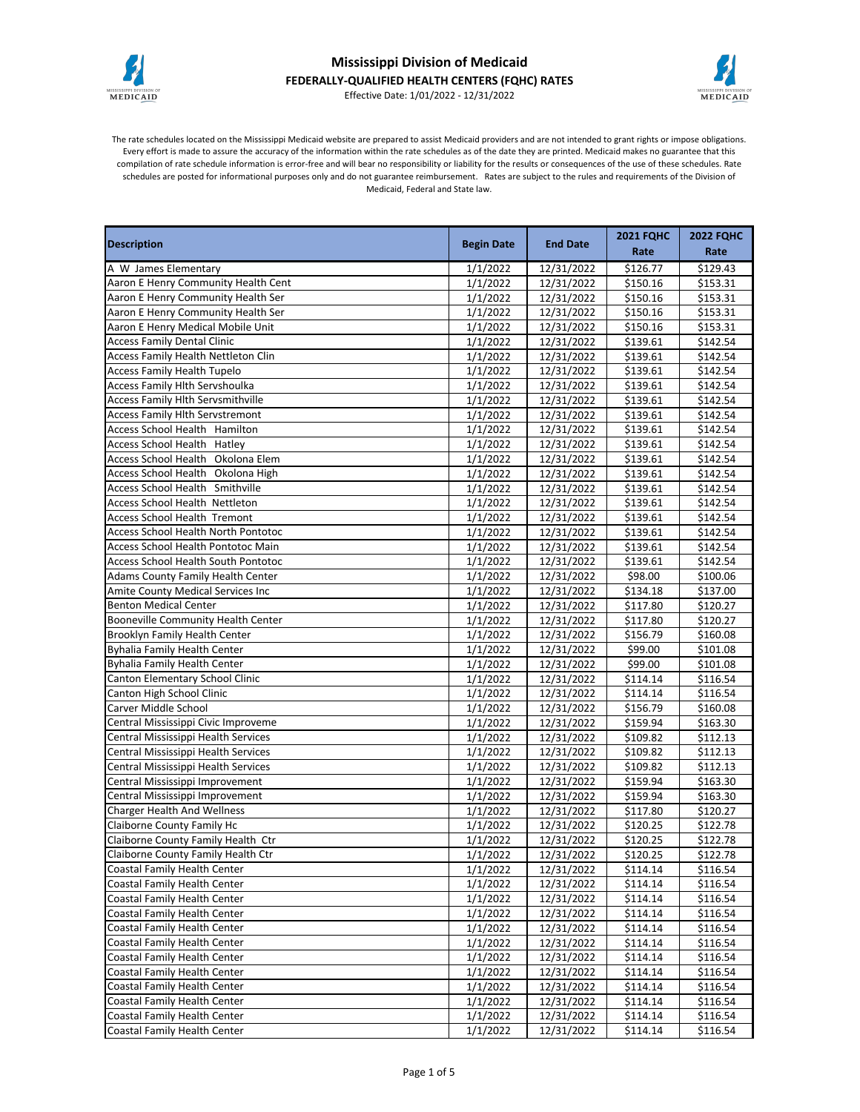

## **Mississippi Division of Medicaid FEDERALLY-QUALIFIED HEALTH CENTERS (FQHC) RATES**



Effective Date: 1/01/2022 - 12/31/2022

The rate schedules located on the Mississippi Medicaid website are prepared to assist Medicaid providers and are not intended to grant rights or impose obligations. Every effort is made to assure the accuracy of the information within the rate schedules as of the date they are printed. Medicaid makes no guarantee that this compilation of rate schedule information is error-free and will bear no responsibility or liability for the results or consequences of the use of these schedules. Rate schedules are posted for informational purposes only and do not guarantee reimbursement. Rates are subject to the rules and requirements of the Division of Medicaid, Federal and State law.

| <b>Description</b>                         | <b>Begin Date</b><br><b>End Date</b> |            | <b>2021 FQHC</b>     | <b>2022 FQHC</b> |
|--------------------------------------------|--------------------------------------|------------|----------------------|------------------|
|                                            |                                      |            | Rate                 | Rate             |
| A W James Elementary                       | 1/1/2022                             | 12/31/2022 | \$126.77             | \$129.43         |
| Aaron E Henry Community Health Cent        | 1/1/2022                             | 12/31/2022 | \$150.16             | \$153.31         |
| Aaron E Henry Community Health Ser         | 1/1/2022                             | 12/31/2022 | \$150.16             | \$153.31         |
| Aaron E Henry Community Health Ser         | 1/1/2022                             | 12/31/2022 | \$150.16             | \$153.31         |
| Aaron E Henry Medical Mobile Unit          | 1/1/2022                             | 12/31/2022 | \$150.16             | \$153.31         |
| <b>Access Family Dental Clinic</b>         | 1/1/2022                             | 12/31/2022 | \$139.61             | \$142.54         |
| Access Family Health Nettleton Clin        | 1/1/2022                             | 12/31/2022 | \$139.61             | \$142.54         |
| <b>Access Family Health Tupelo</b>         | 1/1/2022                             | 12/31/2022 | \$139.61             | \$142.54         |
| Access Family Hlth Servshoulka             | 1/1/2022                             | 12/31/2022 | \$139.61             | \$142.54         |
| <b>Access Family Hlth Servsmithville</b>   | 1/1/2022                             | 12/31/2022 | \$139.61             | \$142.54         |
| <b>Access Family Hlth Servstremont</b>     | 1/1/2022                             | 12/31/2022 | \$139.61             | \$142.54         |
| Access School Health Hamilton              | 1/1/2022                             | 12/31/2022 | \$139.61             | \$142.54         |
| Access School Health Hatley                | 1/1/2022                             | 12/31/2022 | \$139.61             | \$142.54         |
| Access School Health Okolona Elem          | 1/1/2022                             | 12/31/2022 | \$139.61             | \$142.54         |
| Access School Health Okolona High          | 1/1/2022                             | 12/31/2022 | \$139.61             | \$142.54         |
| Access School Health Smithville            | 1/1/2022                             | 12/31/2022 | \$139.61             | \$142.54         |
| <b>Access School Health Nettleton</b>      | 1/1/2022                             | 12/31/2022 | $\overline{$}139.61$ | \$142.54         |
| <b>Access School Health Tremont</b>        | 1/1/2022                             | 12/31/2022 | \$139.61             | \$142.54         |
| Access School Health North Pontotoc        | 1/1/2022                             | 12/31/2022 | \$139.61             | \$142.54         |
| Access School Health Pontotoc Main         | 1/1/2022                             | 12/31/2022 | \$139.61             | \$142.54         |
| <b>Access School Health South Pontotoc</b> | 1/1/2022                             | 12/31/2022 | \$139.61             | \$142.54         |
| Adams County Family Health Center          | 1/1/2022                             | 12/31/2022 | \$98.00              | \$100.06         |
| Amite County Medical Services Inc          | 1/1/2022                             | 12/31/2022 | \$134.18             | \$137.00         |
| <b>Benton Medical Center</b>               | 1/1/2022                             | 12/31/2022 | \$117.80             | \$120.27         |
| <b>Booneville Community Health Center</b>  | 1/1/2022                             | 12/31/2022 | \$117.80             | \$120.27         |
| Brooklyn Family Health Center              | 1/1/2022                             | 12/31/2022 | \$156.79             | \$160.08         |
| <b>Byhalia Family Health Center</b>        | 1/1/2022                             | 12/31/2022 | \$99.00              | \$101.08         |
| <b>Byhalia Family Health Center</b>        | 1/1/2022                             | 12/31/2022 | \$99.00              | \$101.08         |
| Canton Elementary School Clinic            | 1/1/2022                             | 12/31/2022 | \$114.14             | \$116.54         |
| Canton High School Clinic                  | 1/1/2022                             | 12/31/2022 | \$114.14             | \$116.54         |
| Carver Middle School                       | 1/1/2022                             | 12/31/2022 | \$156.79             | \$160.08         |
| Central Mississippi Civic Improveme        | 1/1/2022                             | 12/31/2022 | \$159.94             | \$163.30         |
| Central Mississippi Health Services        | 1/1/2022                             | 12/31/2022 | \$109.82             | \$112.13         |
| Central Mississippi Health Services        | 1/1/2022                             | 12/31/2022 | \$109.82             | \$112.13         |
| Central Mississippi Health Services        | 1/1/2022                             | 12/31/2022 | \$109.82             | \$112.13         |
| Central Mississippi Improvement            | 1/1/2022                             | 12/31/2022 | \$159.94             | \$163.30         |
| Central Mississippi Improvement            | 1/1/2022                             | 12/31/2022 | \$159.94             | \$163.30         |
| <b>Charger Health And Wellness</b>         | 1/1/2022                             | 12/31/2022 | \$117.80             | \$120.27         |
| Claiborne County Family Hc                 | 1/1/2022                             | 12/31/2022 | \$120.25             | \$122.78         |
| Claiborne County Family Health Ctr         | 1/1/2022                             | 12/31/2022 | \$120.25             | \$122.78         |
| Claiborne County Family Health Ctr         | 1/1/2022                             | 12/31/2022 | \$120.25             | \$122.78         |
| Coastal Family Health Center               | 1/1/2022                             | 12/31/2022 | \$114.14             | \$116.54         |
| Coastal Family Health Center               | 1/1/2022                             | 12/31/2022 | \$114.14             | \$116.54         |
| Coastal Family Health Center               | 1/1/2022                             | 12/31/2022 | \$114.14             | \$116.54         |
| Coastal Family Health Center               | 1/1/2022                             | 12/31/2022 | \$114.14             | \$116.54         |
| Coastal Family Health Center               | 1/1/2022                             | 12/31/2022 | \$114.14             | \$116.54         |
| Coastal Family Health Center               | 1/1/2022                             | 12/31/2022 | \$114.14             | \$116.54         |
| Coastal Family Health Center               | 1/1/2022                             | 12/31/2022 | \$114.14             | \$116.54         |
| Coastal Family Health Center               | 1/1/2022                             | 12/31/2022 | \$114.14             | \$116.54         |
| Coastal Family Health Center               | 1/1/2022                             | 12/31/2022 | \$114.14             | \$116.54         |
| Coastal Family Health Center               | 1/1/2022                             | 12/31/2022 | \$114.14             | \$116.54         |
| Coastal Family Health Center               | 1/1/2022                             | 12/31/2022 | \$114.14             | \$116.54         |
| Coastal Family Health Center               | 1/1/2022                             | 12/31/2022 | \$114.14             | \$116.54         |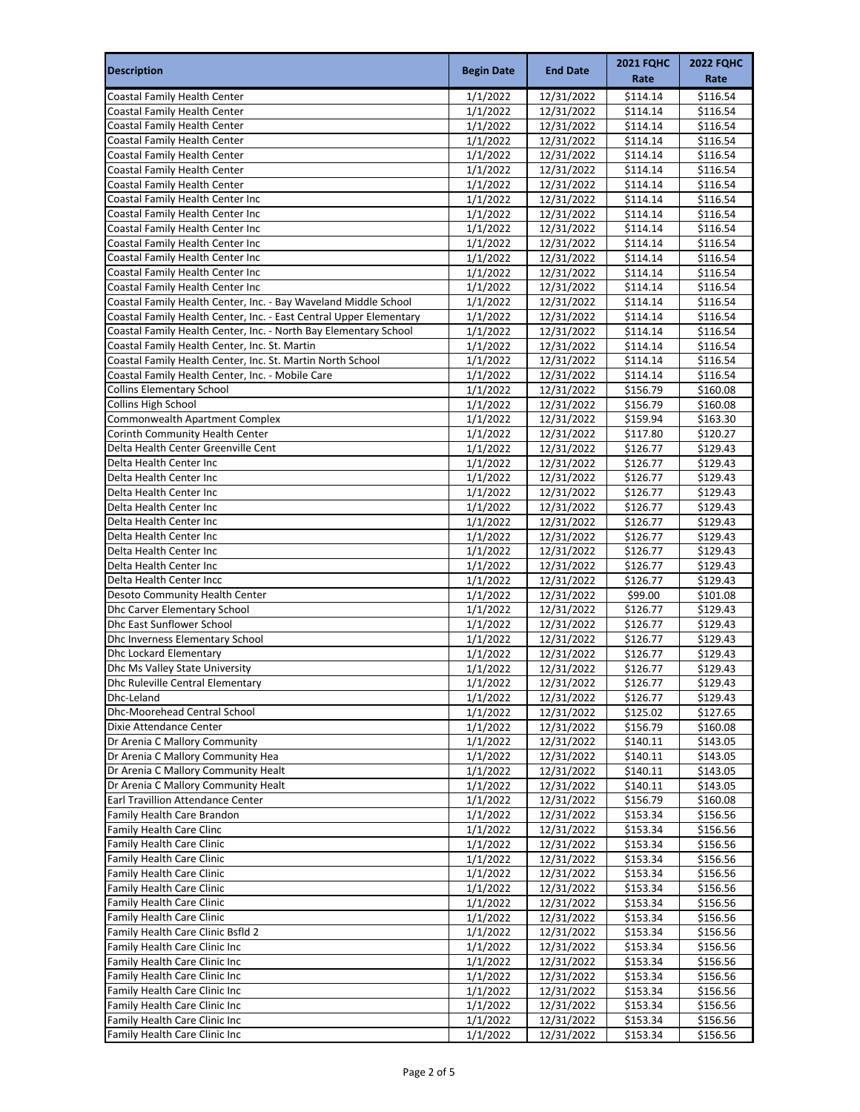| <b>Description</b>                                                                                                                    | <b>Begin Date</b>    | <b>End Date</b>          | <b>2021 FQHC</b><br>Rate | <b>2022 FQHC</b><br>Rate |
|---------------------------------------------------------------------------------------------------------------------------------------|----------------------|--------------------------|--------------------------|--------------------------|
| Coastal Family Health Center                                                                                                          | 1/1/2022             | 12/31/2022               | \$114.14                 | \$116.54                 |
| Coastal Family Health Center                                                                                                          | 1/1/2022             | 12/31/2022               | \$114.14                 | \$116.54                 |
| Coastal Family Health Center                                                                                                          | 1/1/2022             | 12/31/2022               | \$114.14                 | \$116.54                 |
| Coastal Family Health Center                                                                                                          | 1/1/2022             | 12/31/2022               | \$114.14                 | \$116.54                 |
| Coastal Family Health Center                                                                                                          | 1/1/2022             | 12/31/2022               | \$114.14                 | \$116.54                 |
| Coastal Family Health Center                                                                                                          | 1/1/2022             | 12/31/2022               | \$114.14                 | \$116.54                 |
| Coastal Family Health Center                                                                                                          | 1/1/2022             | 12/31/2022               | \$114.14                 | \$116.54                 |
| Coastal Family Health Center Inc                                                                                                      | 1/1/2022             | 12/31/2022               | \$114.14                 | \$116.54                 |
| Coastal Family Health Center Inc                                                                                                      | 1/1/2022             | 12/31/2022               | \$114.14                 | \$116.54                 |
| Coastal Family Health Center Inc                                                                                                      | 1/1/2022             | 12/31/2022               | \$114.14                 | \$116.54                 |
| Coastal Family Health Center Inc                                                                                                      | 1/1/2022             | 12/31/2022               | \$114.14                 | \$116.54                 |
| Coastal Family Health Center Inc                                                                                                      | 1/1/2022             | 12/31/2022               | \$114.14                 | \$116.54                 |
| Coastal Family Health Center Inc<br>Coastal Family Health Center Inc                                                                  | 1/1/2022             | 12/31/2022               | \$114.14                 | \$116.54                 |
|                                                                                                                                       | 1/1/2022<br>1/1/2022 | 12/31/2022               | \$114.14<br>\$114.14     | \$116.54<br>\$116.54     |
| Coastal Family Health Center, Inc. - Bay Waveland Middle School<br>Coastal Family Health Center, Inc. - East Central Upper Elementary | 1/1/2022             | 12/31/2022<br>12/31/2022 | \$114.14                 | \$116.54                 |
| Coastal Family Health Center, Inc. - North Bay Elementary School                                                                      | 1/1/2022             | 12/31/2022               | \$114.14                 | \$116.54                 |
| Coastal Family Health Center, Inc. St. Martin                                                                                         | 1/1/2022             | 12/31/2022               | \$114.14                 | \$116.54                 |
| Coastal Family Health Center, Inc. St. Martin North School                                                                            | 1/1/2022             | 12/31/2022               | \$114.14                 | \$116.54                 |
| Coastal Family Health Center, Inc. - Mobile Care                                                                                      | 1/1/2022             | 12/31/2022               | \$114.14                 | \$116.54                 |
| <b>Collins Elementary School</b>                                                                                                      | 1/1/2022             | 12/31/2022               | \$156.79                 | \$160.08                 |
| Collins High School                                                                                                                   | 1/1/2022             | 12/31/2022               | \$156.79                 | \$160.08                 |
| <b>Commonwealth Apartment Complex</b>                                                                                                 | 1/1/2022             | 12/31/2022               | \$159.94                 | \$163.30                 |
| Corinth Community Health Center                                                                                                       | 1/1/2022             | 12/31/2022               | \$117.80                 | \$120.27                 |
| Delta Health Center Greenville Cent                                                                                                   | 1/1/2022             | 12/31/2022               | \$126.77                 | \$129.43                 |
| Delta Health Center Inc                                                                                                               | 1/1/2022             | 12/31/2022               | \$126.77                 | \$129.43                 |
| Delta Health Center Inc                                                                                                               | 1/1/2022             | 12/31/2022               | \$126.77                 | \$129.43                 |
| Delta Health Center Inc                                                                                                               | 1/1/2022             | 12/31/2022               | \$126.77                 | \$129.43                 |
| Delta Health Center Inc                                                                                                               | 1/1/2022             | 12/31/2022               | \$126.77                 | \$129.43                 |
| Delta Health Center Inc                                                                                                               | 1/1/2022             | 12/31/2022               | \$126.77                 | \$129.43                 |
| Delta Health Center Inc                                                                                                               | 1/1/2022             | 12/31/2022               | \$126.77                 | \$129.43                 |
| Delta Health Center Inc                                                                                                               | 1/1/2022             | 12/31/2022               | \$126.77                 | \$129.43                 |
| Delta Health Center Inc                                                                                                               | 1/1/2022             | 12/31/2022               | \$126.77                 | \$129.43                 |
| Delta Health Center Incc                                                                                                              | 1/1/2022             | 12/31/2022               | \$126.77                 | \$129.43                 |
| Desoto Community Health Center                                                                                                        | 1/1/2022             | 12/31/2022               | \$99.00                  | \$101.08                 |
| Dhc Carver Elementary School                                                                                                          | 1/1/2022             | 12/31/2022               | \$126.77                 | \$129.43                 |
| Dhc East Sunflower School                                                                                                             | 1/1/2022             | 12/31/2022               | \$126.77                 | \$129.43                 |
| Dhc Inverness Elementary School                                                                                                       | 1/1/2022             | 12/31/2022               | \$126.77                 | \$129.43                 |
| <b>Dhc Lockard Elementary</b><br>Dhc Ms Valley State University                                                                       | 1/1/2022<br>1/1/2022 | 12/31/2022               | \$126.77<br>\$126.77     | \$129.43<br>\$129.43     |
|                                                                                                                                       | 1/1/2022             | 12/31/2022               |                          |                          |
| Dhc Ruleville Central Elementary<br>Dhc-Leland                                                                                        | 1/1/2022             | 12/31/2022<br>12/31/2022 | \$126.77<br>\$126.77     | \$129.43<br>\$129.43     |
| Dhc-Moorehead Central School                                                                                                          | 1/1/2022             | 12/31/2022               | \$125.02                 | \$127.65                 |
| Dixie Attendance Center                                                                                                               | 1/1/2022             | 12/31/2022               | \$156.79                 | \$160.08                 |
| Dr Arenia C Mallory Community                                                                                                         | 1/1/2022             | 12/31/2022               | \$140.11                 | \$143.05                 |
| Dr Arenia C Mallory Community Hea                                                                                                     | 1/1/2022             | 12/31/2022               | \$140.11                 | \$143.05                 |
| Dr Arenia C Mallory Community Healt                                                                                                   | 1/1/2022             | 12/31/2022               | \$140.11                 | \$143.05                 |
| Dr Arenia C Mallory Community Healt                                                                                                   | 1/1/2022             | 12/31/2022               | \$140.11                 | \$143.05                 |
| Earl Travillion Attendance Center                                                                                                     | 1/1/2022             | 12/31/2022               | \$156.79                 | \$160.08                 |
| Family Health Care Brandon                                                                                                            | 1/1/2022             | 12/31/2022               | \$153.34                 | \$156.56                 |
| Family Health Care Clinc                                                                                                              | 1/1/2022             | 12/31/2022               | \$153.34                 | \$156.56                 |
| <b>Family Health Care Clinic</b>                                                                                                      | 1/1/2022             | 12/31/2022               | \$153.34                 | \$156.56                 |
| Family Health Care Clinic                                                                                                             | 1/1/2022             | 12/31/2022               | \$153.34                 | \$156.56                 |
| <b>Family Health Care Clinic</b>                                                                                                      | 1/1/2022             | 12/31/2022               | \$153.34                 | \$156.56                 |
| Family Health Care Clinic                                                                                                             | 1/1/2022             | 12/31/2022               | \$153.34                 | \$156.56                 |
| <b>Family Health Care Clinic</b>                                                                                                      | 1/1/2022             | 12/31/2022               | \$153.34                 | \$156.56                 |
| Family Health Care Clinic                                                                                                             | 1/1/2022             | 12/31/2022               | \$153.34                 | \$156.56                 |
| Family Health Care Clinic Bsfld 2                                                                                                     | 1/1/2022             | 12/31/2022               | \$153.34                 | \$156.56                 |
| Family Health Care Clinic Inc                                                                                                         | 1/1/2022             | 12/31/2022               | \$153.34                 | \$156.56                 |
| Family Health Care Clinic Inc                                                                                                         | 1/1/2022             | 12/31/2022               | \$153.34                 | \$156.56                 |
| Family Health Care Clinic Inc                                                                                                         | 1/1/2022             | 12/31/2022               | \$153.34                 | \$156.56                 |
| Family Health Care Clinic Inc<br>Family Health Care Clinic Inc                                                                        | 1/1/2022             | 12/31/2022               | \$153.34                 | \$156.56                 |
| Family Health Care Clinic Inc                                                                                                         | 1/1/2022             | 12/31/2022               | \$153.34<br>\$153.34     | \$156.56                 |
| Family Health Care Clinic Inc                                                                                                         | 1/1/2022<br>1/1/2022 | 12/31/2022<br>12/31/2022 | \$153.34                 | \$156.56<br>\$156.56     |
|                                                                                                                                       |                      |                          |                          |                          |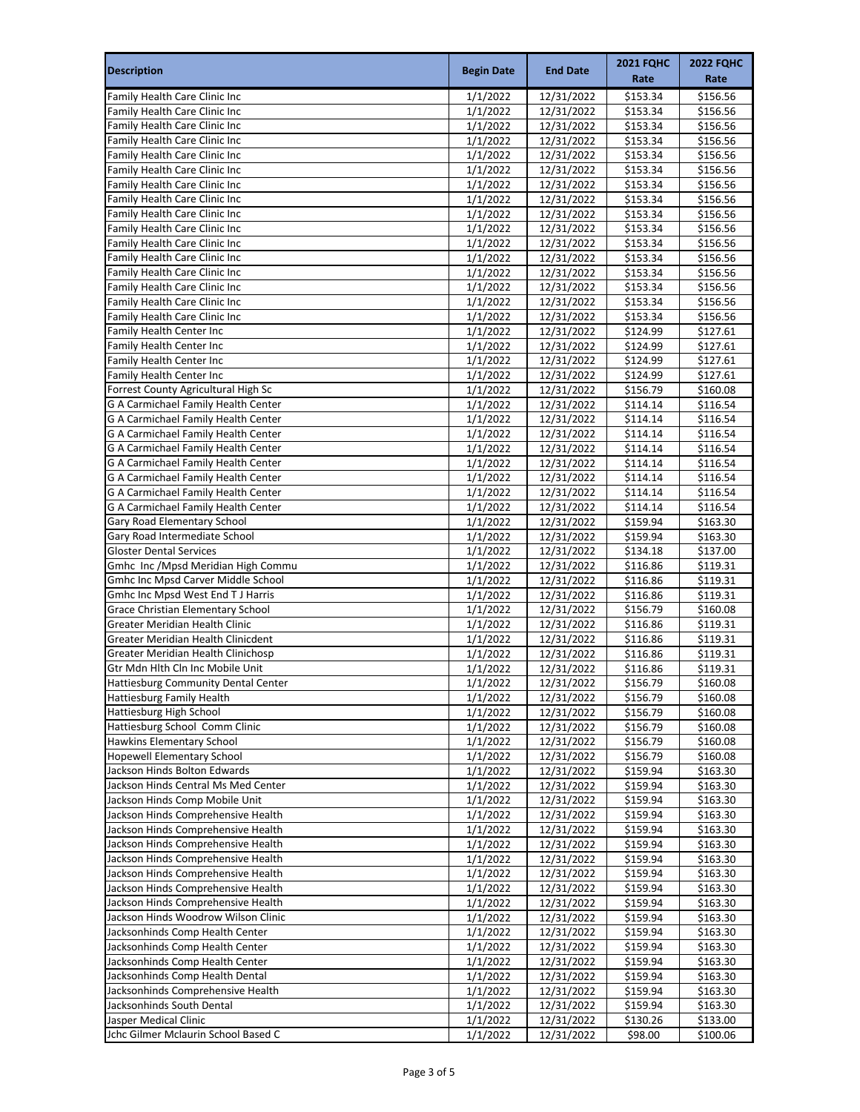| <b>Description</b>                                                         | <b>Begin Date</b>    | <b>End Date</b>          | <b>2021 FQHC</b>     | <b>2022 FQHC</b>     |
|----------------------------------------------------------------------------|----------------------|--------------------------|----------------------|----------------------|
|                                                                            |                      |                          | Rate                 | Rate                 |
| Family Health Care Clinic Inc                                              | 1/1/2022             | 12/31/2022               | \$153.34             | \$156.56             |
| Family Health Care Clinic Inc                                              | 1/1/2022             | 12/31/2022               | \$153.34             | \$156.56             |
| Family Health Care Clinic Inc                                              | 1/1/2022             | 12/31/2022               | \$153.34             | \$156.56             |
| Family Health Care Clinic Inc                                              | 1/1/2022             | 12/31/2022               | \$153.34             | \$156.56             |
| Family Health Care Clinic Inc                                              | 1/1/2022             | 12/31/2022               | \$153.34             | \$156.56             |
| Family Health Care Clinic Inc                                              | 1/1/2022             | 12/31/2022               | \$153.34             | \$156.56             |
| Family Health Care Clinic Inc                                              | 1/1/2022             | 12/31/2022               | \$153.34             | \$156.56             |
| Family Health Care Clinic Inc                                              | 1/1/2022             | 12/31/2022               | \$153.34             | \$156.56             |
| Family Health Care Clinic Inc                                              | 1/1/2022             | 12/31/2022               | \$153.34             | \$156.56             |
| Family Health Care Clinic Inc                                              | 1/1/2022             | 12/31/2022               | \$153.34             | \$156.56             |
| Family Health Care Clinic Inc<br>Family Health Care Clinic Inc             | 1/1/2022             | 12/31/2022               | \$153.34             | \$156.56             |
| Family Health Care Clinic Inc                                              | 1/1/2022<br>1/1/2022 | 12/31/2022<br>12/31/2022 | \$153.34<br>\$153.34 | \$156.56<br>\$156.56 |
| Family Health Care Clinic Inc                                              | 1/1/2022             | 12/31/2022               | \$153.34             | \$156.56             |
| Family Health Care Clinic Inc                                              | 1/1/2022             | 12/31/2022               | \$153.34             | \$156.56             |
| Family Health Care Clinic Inc                                              | 1/1/2022             | 12/31/2022               | \$153.34             | \$156.56             |
| <b>Family Health Center Inc</b>                                            | 1/1/2022             | 12/31/2022               | \$124.99             | \$127.61             |
| Family Health Center Inc                                                   | 1/1/2022             | 12/31/2022               | \$124.99             | \$127.61             |
| Family Health Center Inc                                                   | 1/1/2022             | 12/31/2022               | \$124.99             | \$127.61             |
| Family Health Center Inc                                                   | 1/1/2022             | 12/31/2022               | \$124.99             | \$127.61             |
| Forrest County Agricultural High Sc                                        | 1/1/2022             | 12/31/2022               | \$156.79             | \$160.08             |
| G A Carmichael Family Health Center                                        | 1/1/2022             | 12/31/2022               | \$114.14             | \$116.54             |
| G A Carmichael Family Health Center                                        | 1/1/2022             | 12/31/2022               | \$114.14             | \$116.54             |
| G A Carmichael Family Health Center                                        | 1/1/2022             | 12/31/2022               | \$114.14             | \$116.54             |
| G A Carmichael Family Health Center                                        | 1/1/2022             | 12/31/2022               | \$114.14             | \$116.54             |
| G A Carmichael Family Health Center                                        | 1/1/2022             | 12/31/2022               | \$114.14             | \$116.54             |
| G A Carmichael Family Health Center                                        | 1/1/2022             | 12/31/2022               | \$114.14             | \$116.54             |
| G A Carmichael Family Health Center                                        | 1/1/2022             | 12/31/2022               | \$114.14             | \$116.54             |
| G A Carmichael Family Health Center                                        | 1/1/2022             | 12/31/2022               | \$114.14             | \$116.54             |
| Gary Road Elementary School                                                | 1/1/2022             | 12/31/2022               | \$159.94             | \$163.30             |
| Gary Road Intermediate School                                              | 1/1/2022             | 12/31/2022               | \$159.94             | \$163.30             |
| <b>Gloster Dental Services</b>                                             | 1/1/2022             | 12/31/2022               | \$134.18             | \$137.00             |
| Gmhc Inc / Mpsd Meridian High Commu                                        | 1/1/2022             | 12/31/2022               | \$116.86             | \$119.31             |
| Gmhc Inc Mpsd Carver Middle School                                         | 1/1/2022             | 12/31/2022               | \$116.86             | \$119.31             |
| <b>Gmhc Inc Mpsd West End T J Harris</b>                                   | 1/1/2022             | 12/31/2022               | \$116.86             | \$119.31             |
| <b>Grace Christian Elementary School</b><br>Greater Meridian Health Clinic | 1/1/2022             | 12/31/2022               | \$156.79             | \$160.08             |
| Greater Meridian Health Clinicdent                                         | 1/1/2022<br>1/1/2022 | 12/31/2022<br>12/31/2022 | \$116.86<br>\$116.86 | \$119.31<br>\$119.31 |
| Greater Meridian Health Clinichosp                                         | 1/1/2022             | 12/31/2022               | \$116.86             | \$119.31             |
| Gtr Mdn Hlth Cln Inc Mobile Unit                                           | 1/1/2022             | 12/31/2022               | \$116.86             | \$119.31             |
| <b>Hattiesburg Community Dental Center</b>                                 | 1/1/2022             | 12/31/2022               | \$156.79             | \$160.08             |
| Hattiesburg Family Health                                                  | 1/1/2022             | 12/31/2022               | \$156.79             | \$160.08             |
| Hattiesburg High School                                                    | 1/1/2022             | 12/31/2022               | \$156.79             | \$160.08             |
| Hattiesburg School Comm Clinic                                             | 1/1/2022             | 12/31/2022               | \$156.79             | \$160.08             |
| Hawkins Elementary School                                                  | 1/1/2022             | 12/31/2022               | \$156.79             | \$160.08             |
| Hopewell Elementary School                                                 | 1/1/2022             | 12/31/2022               | \$156.79             | \$160.08             |
| Jackson Hinds Bolton Edwards                                               | 1/1/2022             | 12/31/2022               | \$159.94             | \$163.30             |
| Jackson Hinds Central Ms Med Center                                        | 1/1/2022             | 12/31/2022               | \$159.94             | \$163.30             |
| Jackson Hinds Comp Mobile Unit                                             | 1/1/2022             | 12/31/2022               | \$159.94             | \$163.30             |
| Jackson Hinds Comprehensive Health                                         | 1/1/2022             | 12/31/2022               | \$159.94             | \$163.30             |
| Jackson Hinds Comprehensive Health                                         | 1/1/2022             | 12/31/2022               | \$159.94             | \$163.30             |
| Jackson Hinds Comprehensive Health                                         | 1/1/2022             | 12/31/2022               | \$159.94             | \$163.30             |
| Jackson Hinds Comprehensive Health                                         | 1/1/2022             | 12/31/2022               | \$159.94             | \$163.30             |
| Jackson Hinds Comprehensive Health                                         | 1/1/2022             | 12/31/2022               | \$159.94             | \$163.30             |
| Jackson Hinds Comprehensive Health                                         | 1/1/2022             | 12/31/2022               | \$159.94             | \$163.30             |
| Jackson Hinds Comprehensive Health                                         | 1/1/2022             | 12/31/2022               | \$159.94             | \$163.30             |
| Jackson Hinds Woodrow Wilson Clinic                                        | 1/1/2022             | 12/31/2022               | \$159.94             | \$163.30             |
| Jacksonhinds Comp Health Center<br>Jacksonhinds Comp Health Center         | 1/1/2022             | 12/31/2022               | \$159.94             | \$163.30             |
| Jacksonhinds Comp Health Center                                            | 1/1/2022<br>1/1/2022 | 12/31/2022<br>12/31/2022 | \$159.94<br>\$159.94 | \$163.30<br>\$163.30 |
| Jacksonhinds Comp Health Dental                                            | 1/1/2022             | 12/31/2022               | \$159.94             | \$163.30             |
| Jacksonhinds Comprehensive Health                                          | 1/1/2022             | 12/31/2022               | \$159.94             | \$163.30             |
| Jacksonhinds South Dental                                                  | 1/1/2022             | 12/31/2022               | \$159.94             | \$163.30             |
| Jasper Medical Clinic                                                      | 1/1/2022             | 12/31/2022               | \$130.26             | \$133.00             |
| Jchc Gilmer Mclaurin School Based C                                        | 1/1/2022             | 12/31/2022               | \$98.00              | \$100.06             |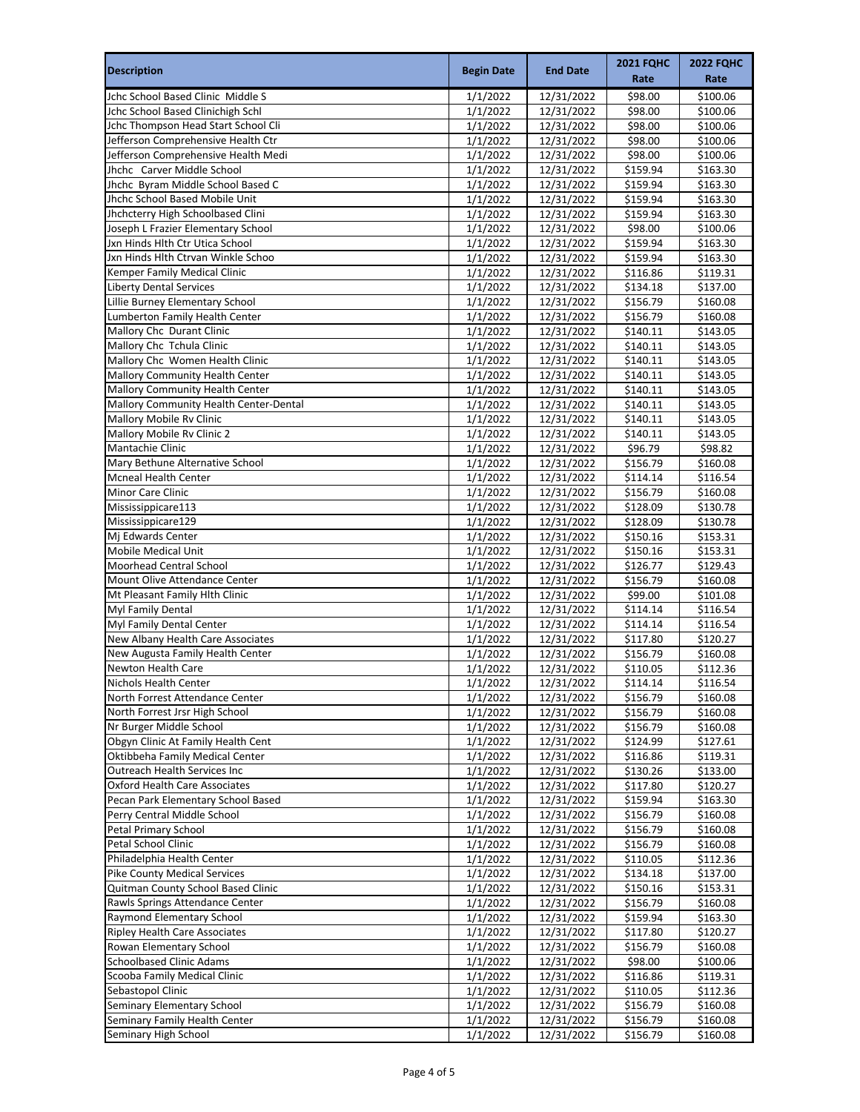| <b>Description</b>                                                    | <b>Begin Date</b>    | <b>End Date</b>          | <b>2021 FQHC</b><br>Rate | <b>2022 FQHC</b><br>Rate |
|-----------------------------------------------------------------------|----------------------|--------------------------|--------------------------|--------------------------|
| Jchc School Based Clinic Middle S                                     | 1/1/2022             | 12/31/2022               | \$98.00                  | \$100.06                 |
| Jchc School Based Clinichigh Schl                                     | 1/1/2022             | 12/31/2022               | \$98.00                  | \$100.06                 |
| Jchc Thompson Head Start School Cli                                   | 1/1/2022             | 12/31/2022               | \$98.00                  | \$100.06                 |
| Jefferson Comprehensive Health Ctr                                    | 1/1/2022             | 12/31/2022               | \$98.00                  | \$100.06                 |
| Jefferson Comprehensive Health Medi                                   | 1/1/2022             | 12/31/2022               | \$98.00                  | \$100.06                 |
| Jhchc Carver Middle School                                            | 1/1/2022             | 12/31/2022               | \$159.94                 | \$163.30                 |
| Jhchc Byram Middle School Based C                                     | 1/1/2022             | 12/31/2022               | \$159.94                 | \$163.30                 |
| Jhchc School Based Mobile Unit                                        | 1/1/2022             | 12/31/2022               | \$159.94                 | \$163.30                 |
| Jhchcterry High Schoolbased Clini                                     | 1/1/2022             | 12/31/2022               | \$159.94                 | \$163.30                 |
| Joseph L Frazier Elementary School                                    | 1/1/2022             | 12/31/2022               | \$98.00                  | \$100.06                 |
| Jxn Hinds Hlth Ctr Utica School                                       | 1/1/2022             | 12/31/2022               | \$159.94                 | \$163.30                 |
| Jxn Hinds Hlth Ctrvan Winkle Schoo                                    | 1/1/2022             | 12/31/2022               | \$159.94                 | \$163.30                 |
| Kemper Family Medical Clinic                                          | 1/1/2022             | 12/31/2022               | \$116.86                 | \$119.31                 |
| <b>Liberty Dental Services</b>                                        | 1/1/2022             | 12/31/2022               | \$134.18                 | \$137.00                 |
| Lillie Burney Elementary School                                       | 1/1/2022             | 12/31/2022               | \$156.79                 | \$160.08                 |
| Lumberton Family Health Center<br>Mallory Chc Durant Clinic           | 1/1/2022<br>1/1/2022 | 12/31/2022<br>12/31/2022 | \$156.79<br>\$140.11     | \$160.08<br>\$143.05     |
| Mallory Chc Tchula Clinic                                             | 1/1/2022             | 12/31/2022               | \$140.11                 | \$143.05                 |
| Mallory Chc Women Health Clinic                                       | 1/1/2022             | 12/31/2022               | \$140.11                 | \$143.05                 |
| Mallory Community Health Center                                       | 1/1/2022             | 12/31/2022               | \$140.11                 | \$143.05                 |
| Mallory Community Health Center                                       | 1/1/2022             | 12/31/2022               | \$140.11                 | \$143.05                 |
| Mallory Community Health Center-Dental                                | 1/1/2022             | 12/31/2022               | \$140.11                 | \$143.05                 |
| Mallory Mobile Rv Clinic                                              | 1/1/2022             | 12/31/2022               | \$140.11                 | \$143.05                 |
| Mallory Mobile Rv Clinic 2                                            | 1/1/2022             | 12/31/2022               | \$140.11                 | \$143.05                 |
| Mantachie Clinic                                                      | 1/1/2022             | 12/31/2022               | \$96.79                  | \$98.82                  |
| Mary Bethune Alternative School                                       | 1/1/2022             | 12/31/2022               | \$156.79                 | \$160.08                 |
| <b>Mcneal Health Center</b>                                           | 1/1/2022             | 12/31/2022               | \$114.14                 | \$116.54                 |
| Minor Care Clinic                                                     | 1/1/2022             | 12/31/2022               | \$156.79                 | \$160.08                 |
| Mississippicare113                                                    | 1/1/2022             | 12/31/2022               | \$128.09                 | \$130.78                 |
| Mississippicare129                                                    | 1/1/2022             | 12/31/2022               | \$128.09                 | \$130.78                 |
| Mj Edwards Center                                                     | 1/1/2022             | 12/31/2022               | \$150.16                 | \$153.31                 |
| <b>Mobile Medical Unit</b>                                            | 1/1/2022             | 12/31/2022               | \$150.16                 | \$153.31                 |
| Moorhead Central School                                               | 1/1/2022             | 12/31/2022               | \$126.77                 | \$129.43                 |
| Mount Olive Attendance Center                                         | 1/1/2022             | 12/31/2022               | \$156.79                 | \$160.08                 |
| Mt Pleasant Family Hlth Clinic                                        | 1/1/2022             | 12/31/2022               | \$99.00                  | \$101.08                 |
| Myl Family Dental                                                     | 1/1/2022             | 12/31/2022               | \$114.14                 | \$116.54                 |
| Myl Family Dental Center                                              | 1/1/2022             | 12/31/2022               | \$114.14                 | \$116.54                 |
| New Albany Health Care Associates<br>New Augusta Family Health Center | 1/1/2022             | 12/31/2022               | \$117.80                 | \$120.27                 |
| Newton Health Care                                                    | 1/1/2022<br>1/1/2022 | 12/31/2022<br>12/31/2022 | \$156.79<br>\$110.05     | \$160.08<br>\$112.36     |
| Nichols Health Center                                                 | 1/1/2022             | 12/31/2022               | \$114.14                 | \$116.54                 |
| North Forrest Attendance Center                                       | 1/1/2022             | 12/31/2022               | \$156.79                 | \$160.08                 |
| North Forrest Jrsr High School                                        | 1/1/2022             | 12/31/2022               | \$156.79                 | \$160.08                 |
| Nr Burger Middle School                                               | 1/1/2022             | 12/31/2022               | \$156.79                 | \$160.08                 |
| Obgyn Clinic At Family Health Cent                                    | 1/1/2022             | 12/31/2022               | \$124.99                 | \$127.61                 |
| Oktibbeha Family Medical Center                                       | 1/1/2022             | 12/31/2022               | \$116.86                 | \$119.31                 |
| Outreach Health Services Inc                                          | 1/1/2022             | 12/31/2022               | \$130.26                 | \$133.00                 |
| <b>Oxford Health Care Associates</b>                                  | 1/1/2022             | 12/31/2022               | \$117.80                 | \$120.27                 |
| Pecan Park Elementary School Based                                    | 1/1/2022             | 12/31/2022               | \$159.94                 | \$163.30                 |
| Perry Central Middle School                                           | 1/1/2022             | 12/31/2022               | \$156.79                 | \$160.08                 |
| Petal Primary School                                                  | 1/1/2022             | 12/31/2022               | \$156.79                 | \$160.08                 |
| Petal School Clinic                                                   | 1/1/2022             | 12/31/2022               | \$156.79                 | \$160.08                 |
| Philadelphia Health Center                                            | 1/1/2022             | 12/31/2022               | \$110.05                 | \$112.36                 |
| <b>Pike County Medical Services</b>                                   | 1/1/2022             | 12/31/2022               | \$134.18                 | \$137.00                 |
| Quitman County School Based Clinic                                    | 1/1/2022             | 12/31/2022               | \$150.16                 | \$153.31                 |
| Rawls Springs Attendance Center                                       | 1/1/2022             | 12/31/2022               | \$156.79                 | \$160.08                 |
| Raymond Elementary School                                             | 1/1/2022             | 12/31/2022               | \$159.94                 | \$163.30                 |
| <b>Ripley Health Care Associates</b>                                  | 1/1/2022             | 12/31/2022               | \$117.80                 | \$120.27                 |
| Rowan Elementary School<br><b>Schoolbased Clinic Adams</b>            | 1/1/2022             | 12/31/2022               | \$156.79                 | \$160.08                 |
| Scooba Family Medical Clinic                                          | 1/1/2022             | 12/31/2022               | \$98.00                  | \$100.06                 |
| Sebastopol Clinic                                                     | 1/1/2022<br>1/1/2022 | 12/31/2022<br>12/31/2022 | \$116.86<br>\$110.05     | \$119.31<br>\$112.36     |
| Seminary Elementary School                                            | 1/1/2022             | 12/31/2022               | \$156.79                 | \$160.08                 |
| Seminary Family Health Center                                         | 1/1/2022             | 12/31/2022               | \$156.79                 | \$160.08                 |
| Seminary High School                                                  | 1/1/2022             | 12/31/2022               | \$156.79                 | \$160.08                 |